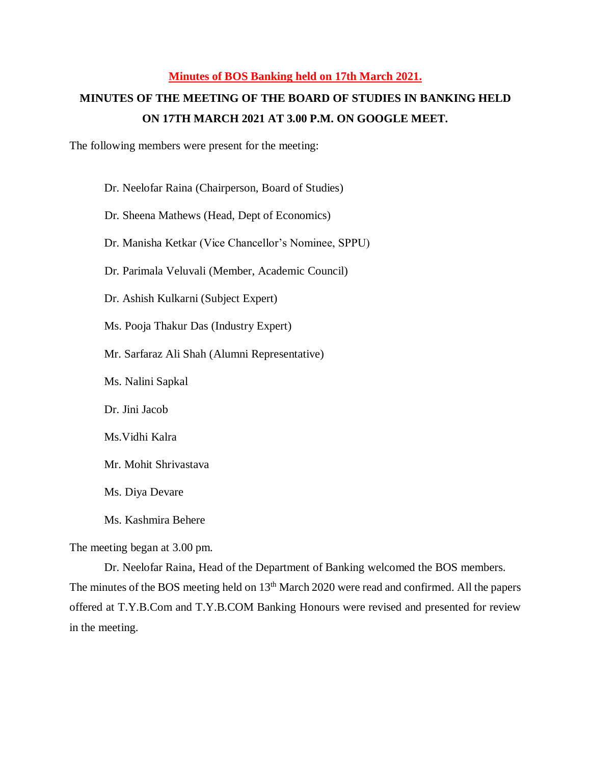## **Minutes of BOS Banking held on 17th March 2021.**

## **MINUTES OF THE MEETING OF THE BOARD OF STUDIES IN BANKING HELD ON 17TH MARCH 2021 AT 3.00 P.M. ON GOOGLE MEET.**

The following members were present for the meeting:

Dr. Neelofar Raina (Chairperson, Board of Studies)

Dr. Sheena Mathews (Head, Dept of Economics)

Dr. Manisha Ketkar (Vice Chancellor's Nominee, SPPU)

Dr. Parimala Veluvali (Member, Academic Council)

Dr. Ashish Kulkarni (Subject Expert)

Ms. Pooja Thakur Das (Industry Expert)

Mr. Sarfaraz Ali Shah (Alumni Representative)

Ms. Nalini Sapkal

Dr. Jini Jacob

Ms.Vidhi Kalra

Mr. Mohit Shrivastava

Ms. Diya Devare

Ms. Kashmira Behere

The meeting began at 3.00 pm.

Dr. Neelofar Raina, Head of the Department of Banking welcomed the BOS members. The minutes of the BOS meeting held on 13<sup>th</sup> March 2020 were read and confirmed. All the papers offered at T.Y.B.Com and T.Y.B.COM Banking Honours were revised and presented for review in the meeting.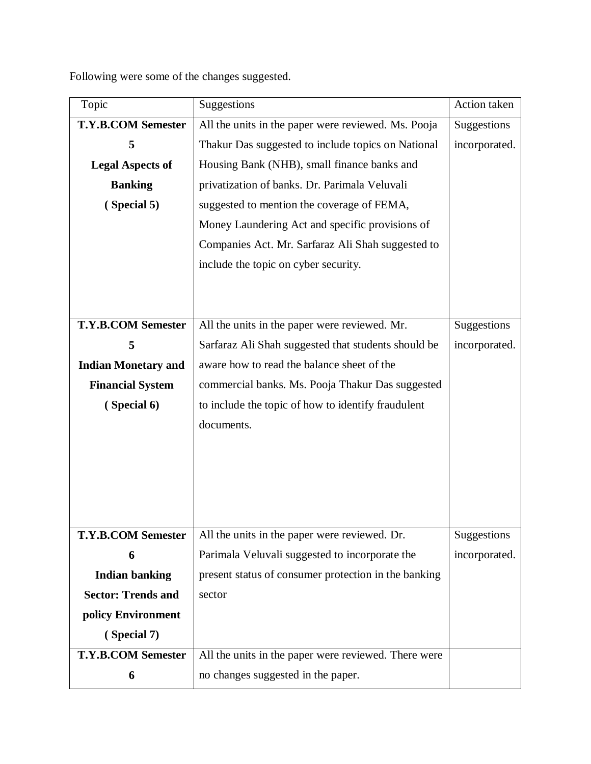Following were some of the changes suggested.

| Topic                      | Suggestions                                          | Action taken  |
|----------------------------|------------------------------------------------------|---------------|
| <b>T.Y.B.COM Semester</b>  | All the units in the paper were reviewed. Ms. Pooja  | Suggestions   |
| 5                          | Thakur Das suggested to include topics on National   | incorporated. |
| <b>Legal Aspects of</b>    | Housing Bank (NHB), small finance banks and          |               |
| <b>Banking</b>             | privatization of banks. Dr. Parimala Veluvali        |               |
| (Special 5)                | suggested to mention the coverage of FEMA,           |               |
|                            | Money Laundering Act and specific provisions of      |               |
|                            | Companies Act. Mr. Sarfaraz Ali Shah suggested to    |               |
|                            | include the topic on cyber security.                 |               |
|                            |                                                      |               |
|                            |                                                      |               |
| <b>T.Y.B.COM Semester</b>  | All the units in the paper were reviewed. Mr.        | Suggestions   |
| 5                          | Sarfaraz Ali Shah suggested that students should be  | incorporated. |
| <b>Indian Monetary and</b> | aware how to read the balance sheet of the           |               |
| <b>Financial System</b>    | commercial banks. Ms. Pooja Thakur Das suggested     |               |
| (Special 6)                | to include the topic of how to identify fraudulent   |               |
|                            | documents.                                           |               |
|                            |                                                      |               |
|                            |                                                      |               |
|                            |                                                      |               |
|                            |                                                      |               |
| <b>T.Y.B.COM Semester</b>  | All the units in the paper were reviewed. Dr.        | Suggestions   |
| 6                          | Parimala Veluvali suggested to incorporate the       | incorporated. |
| <b>Indian banking</b>      | present status of consumer protection in the banking |               |
| <b>Sector: Trends and</b>  | sector                                               |               |
| policy Environment         |                                                      |               |
| (Special 7)                |                                                      |               |
| <b>T.Y.B.COM Semester</b>  | All the units in the paper were reviewed. There were |               |
| 6                          | no changes suggested in the paper.                   |               |
|                            |                                                      |               |